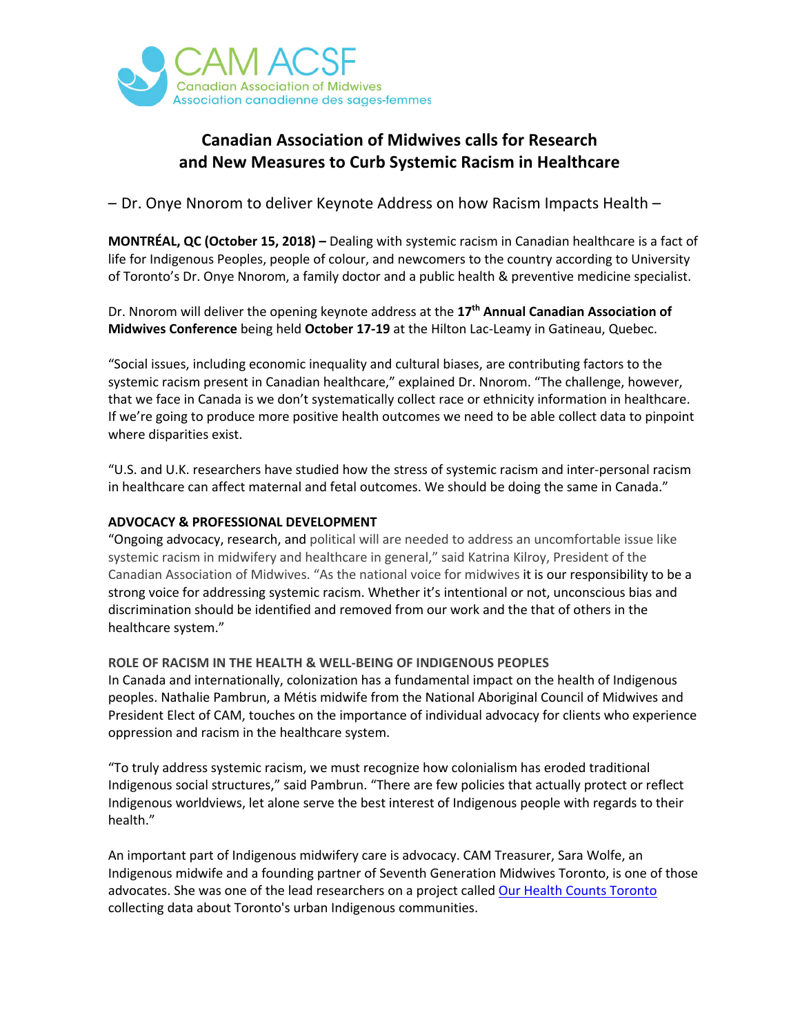

## **Canadian Association of Midwives calls for Research and New Measures to Curb Systemic Racism in Healthcare**

– Dr. Onye Nnorom to deliver Keynote Address on how Racism Impacts Health –

**MONTRÉAL, QC (October 15, 2018) –** Dealing with systemic racism in Canadian healthcare is a fact of life for Indigenous Peoples, people of colour, and newcomers to the country according to University of Toronto's Dr. Onye Nnorom, a family doctor and a public health & preventive medicine specialist.

Dr. Nnorom will deliver the opening keynote address at the **17th Annual Canadian Association of Midwives Conference** being held **October 17-19** at the Hilton Lac-Leamy in Gatineau, Quebec.

"Social issues, including economic inequality and cultural biases, are contributing factors to the systemic racism present in Canadian healthcare," explained Dr. Nnorom. "The challenge, however, that we face in Canada is we don't systematically collect race or ethnicity information in healthcare. If we're going to produce more positive health outcomes we need to be able collect data to pinpoint where disparities exist.

"U.S. and U.K. researchers have studied how the stress of systemic racism and inter-personal racism in healthcare can affect maternal and fetal outcomes. We should be doing the same in Canada."

## **ADVOCACY & PROFESSIONAL DEVELOPMENT**

"Ongoing advocacy, research, and political will are needed to address an uncomfortable issue like systemic racism in midwifery and healthcare in general," said Katrina Kilroy, President of the Canadian Association of Midwives. "As the national voice for midwives it is our responsibility to be a strong voice for addressing systemic racism. Whether it's intentional or not, unconscious bias and discrimination should be identified and removed from our work and the that of others in the healthcare system."

## **ROLE OF RACISM IN THE HEALTH & WELL-BEING OF INDIGENOUS PEOPLES**

In Canada and internationally, colonization has a fundamental impact on the health of Indigenous peoples. Nathalie Pambrun, a Métis midwife from the National Aboriginal Council of Midwives and President Elect of CAM, touches on the importance of individual advocacy for clients who experience oppression and racism in the healthcare system.

"To truly address systemic racism, we must recognize how colonialism has eroded traditional Indigenous social structures," said Pambrun. "There are few policies that actually protect or reflect Indigenous worldviews, let alone serve the best interest of Indigenous people with regards to their health."

An important part of Indigenous midwifery care is advocacy. CAM Treasurer, Sara Wolfe, an Indigenous midwife and a founding partner of Seventh Generation Midwives Toronto, is one of those advocates. She was one of the lead researchers on a project called Our Health Counts Toronto collecting data about Toronto's urban Indigenous communities.